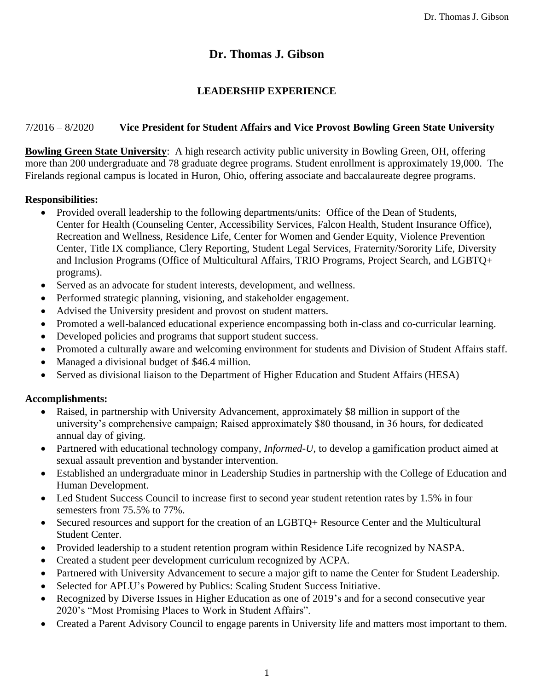# **Dr. Thomas J. Gibson**

## **LEADERSHIP EXPERIENCE**

## 7/2016 – 8/2020 **Vice President for Student Affairs and Vice Provost Bowling Green State University**

**Bowling Green State University**: A high research activity public university in Bowling Green, OH, offering more than 200 undergraduate and 78 graduate degree programs. Student enrollment is approximately 19,000. The Firelands regional campus is located in Huron, Ohio, offering associate and baccalaureate degree programs.

## **Responsibilities:**

- Provided overall leadership to the following departments/units: Office of the Dean of Students, Center for Health (Counseling Center, Accessibility Services, Falcon Health, Student Insurance Office), Recreation and Wellness, Residence Life, Center for Women and Gender Equity, Violence Prevention Center, Title IX compliance, Clery Reporting, Student Legal Services, Fraternity/Sorority Life, Diversity and Inclusion Programs (Office of Multicultural Affairs, TRIO Programs, Project Search, and LGBTQ+ programs).
- Served as an advocate for student interests, development, and wellness.
- Performed strategic planning, visioning, and stakeholder engagement.
- Advised the University president and provost on student matters.
- Promoted a well-balanced educational experience encompassing both in-class and co-curricular learning.
- Developed policies and programs that support student success.
- Promoted a culturally aware and welcoming environment for students and Division of Student Affairs staff.
- Managed a divisional budget of \$46.4 million.
- Served as divisional liaison to the Department of Higher Education and Student Affairs (HESA)

#### **Accomplishments:**

- Raised, in partnership with University Advancement, approximately \$8 million in support of the university's comprehensive campaign; Raised approximately \$80 thousand, in 36 hours, for dedicated annual day of giving.
- Partnered with educational technology company, *Informed-U*, to develop a gamification product aimed at sexual assault prevention and bystander intervention.
- Established an undergraduate minor in Leadership Studies in partnership with the College of Education and Human Development.
- Led Student Success Council to increase first to second year student retention rates by 1.5% in four semesters from 75.5% to 77%.
- Secured resources and support for the creation of an LGBTO+ Resource Center and the Multicultural Student Center.
- Provided leadership to a student retention program within Residence Life recognized by NASPA.
- Created a student peer development curriculum recognized by ACPA.
- Partnered with University Advancement to secure a major gift to name the Center for Student Leadership.
- Selected for APLU's Powered by Publics: Scaling Student Success Initiative.
- Recognized by Diverse Issues in Higher Education as one of 2019's and for a second consecutive year 2020's "Most Promising Places to Work in Student Affairs".
- Created a Parent Advisory Council to engage parents in University life and matters most important to them.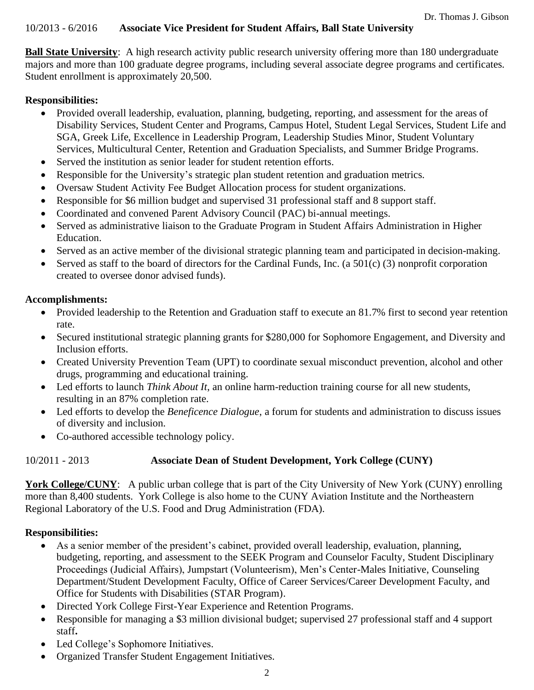#### 10/2013 - 6/2016 **Associate Vice President for Student Affairs, Ball State University**

**Ball State University**: A high research activity public research university offering more than 180 undergraduate majors and more than 100 graduate degree programs, including several associate degree programs and certificates. Student enrollment is approximately 20,500.

#### **Responsibilities:**

- Provided overall leadership, evaluation, planning, budgeting, reporting, and assessment for the areas of Disability Services, Student Center and Programs, Campus Hotel, Student Legal Services, Student Life and SGA, Greek Life, Excellence in Leadership Program, Leadership Studies Minor, Student Voluntary Services, Multicultural Center, Retention and Graduation Specialists, and Summer Bridge Programs.
- Served the institution as senior leader for student retention efforts.
- Responsible for the University's strategic plan student retention and graduation metrics.
- Oversaw Student Activity Fee Budget Allocation process for student organizations.
- Responsible for \$6 million budget and supervised 31 professional staff and 8 support staff.
- Coordinated and convened Parent Advisory Council (PAC) bi-annual meetings.
- Served as administrative liaison to the Graduate Program in Student Affairs Administration in Higher Education.
- Served as an active member of the divisional strategic planning team and participated in decision-making.
- Served as staff to the board of directors for the Cardinal Funds, Inc. (a  $501(c)$  (3) nonprofit corporation created to oversee donor advised funds).

## **Accomplishments:**

- Provided leadership to the Retention and Graduation staff to execute an 81.7% first to second year retention rate.
- Secured institutional strategic planning grants for \$280,000 for Sophomore Engagement, and Diversity and Inclusion efforts.
- Created University Prevention Team (UPT) to coordinate sexual misconduct prevention, alcohol and other drugs, programming and educational training.
- Led efforts to launch *Think About It*, an online harm-reduction training course for all new students, resulting in an 87% completion rate.
- Led efforts to develop the *Beneficence Dialogue*, a forum for students and administration to discuss issues of diversity and inclusion.
- Co-authored accessible technology policy.

## 10/2011 - 2013 **Associate Dean of Student Development, York College (CUNY)**

York College/CUNY: A public urban college that is part of the City University of New York (CUNY) enrolling more than 8,400 students. York College is also home to the CUNY Aviation Institute and the Northeastern Regional Laboratory of the U.S. Food and Drug Administration (FDA).

## **Responsibilities:**

- As a senior member of the president's cabinet, provided overall leadership, evaluation, planning, budgeting, reporting, and assessment to the SEEK Program and Counselor Faculty, Student Disciplinary Proceedings (Judicial Affairs), Jumpstart (Volunteerism), Men's Center-Males Initiative, Counseling Department/Student Development Faculty, Office of Career Services/Career Development Faculty, and Office for Students with Disabilities (STAR Program).
- Directed York College First-Year Experience and Retention Programs.
- Responsible for managing a \$3 million divisional budget; supervised 27 professional staff and 4 support staff**.**
- Led College's Sophomore Initiatives.
- Organized Transfer Student Engagement Initiatives.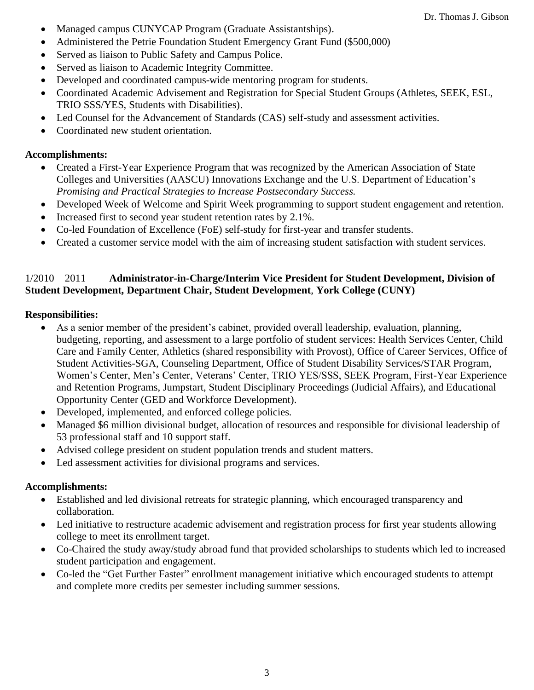- Managed campus CUNYCAP Program (Graduate Assistantships).
- Administered the Petrie Foundation Student Emergency Grant Fund (\$500,000)
- Served as liaison to Public Safety and Campus Police.
- Served as liaison to Academic Integrity Committee.
- Developed and coordinated campus-wide mentoring program for students.
- Coordinated Academic Advisement and Registration for Special Student Groups (Athletes, SEEK, ESL, TRIO SSS/YES, Students with Disabilities).
- Led Counsel for the Advancement of Standards (CAS) self-study and assessment activities.
- Coordinated new student orientation.

## **Accomplishments:**

- Created a First-Year Experience Program that was recognized by the American Association of State Colleges and Universities (AASCU) Innovations Exchange and the U.S. Department of Education's *Promising and Practical Strategies to Increase Postsecondary Success.*
- Developed Week of Welcome and Spirit Week programming to support student engagement and retention.
- Increased first to second year student retention rates by 2.1%.
- Co-led Foundation of Excellence (FoE) self-study for first-year and transfer students.
- Created a customer service model with the aim of increasing student satisfaction with student services.

#### 1/2010 – 2011 **Administrator-in-Charge/Interim Vice President for Student Development, Division of Student Development, Department Chair, Student Development**, **York College (CUNY)**

## **Responsibilities:**

- As a senior member of the president's cabinet, provided overall leadership, evaluation, planning, budgeting, reporting, and assessment to a large portfolio of student services: Health Services Center, Child Care and Family Center, Athletics (shared responsibility with Provost), Office of Career Services, Office of Student Activities-SGA, Counseling Department, Office of Student Disability Services/STAR Program, Women's Center, Men's Center, Veterans' Center, TRIO YES/SSS, SEEK Program, First-Year Experience and Retention Programs, Jumpstart, Student Disciplinary Proceedings (Judicial Affairs), and Educational Opportunity Center (GED and Workforce Development).
- Developed, implemented, and enforced college policies.
- Managed \$6 million divisional budget, allocation of resources and responsible for divisional leadership of 53 professional staff and 10 support staff.
- Advised college president on student population trends and student matters.
- Led assessment activities for divisional programs and services.

## **Accomplishments:**

- Established and led divisional retreats for strategic planning, which encouraged transparency and collaboration.
- Led initiative to restructure academic advisement and registration process for first year students allowing college to meet its enrollment target.
- Co-Chaired the study away/study abroad fund that provided scholarships to students which led to increased student participation and engagement.
- Co-led the "Get Further Faster" enrollment management initiative which encouraged students to attempt and complete more credits per semester including summer sessions.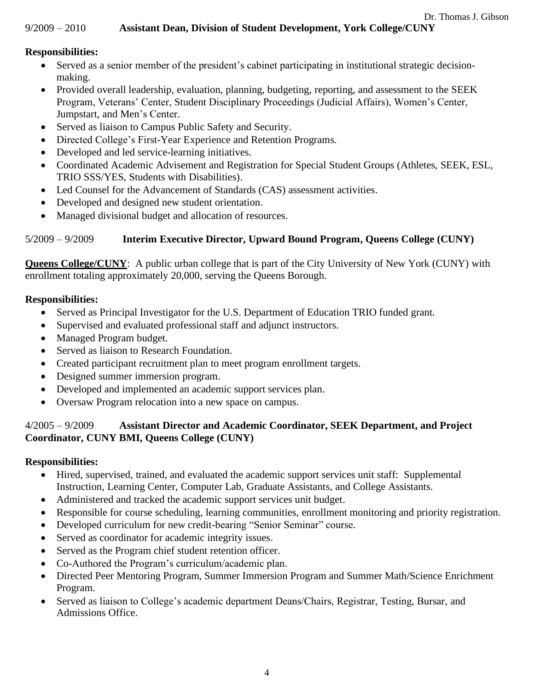#### 9/2009 – 2010 **Assistant Dean, Division of Student Development, York College/CUNY**

#### **Responsibilities:**

- Served as a senior member of the president's cabinet participating in institutional strategic decisionmaking.
- Provided overall leadership, evaluation, planning, budgeting, reporting, and assessment to the SEEK Program, Veterans' Center, Student Disciplinary Proceedings (Judicial Affairs), Women's Center, Jumpstart, and Men's Center.
- Served as liaison to Campus Public Safety and Security.
- Directed College's First-Year Experience and Retention Programs.
- Developed and led service-learning initiatives.
- Coordinated Academic Advisement and Registration for Special Student Groups (Athletes, SEEK, ESL, TRIO SSS/YES, Students with Disabilities).
- Led Counsel for the Advancement of Standards (CAS) assessment activities.
- Developed and designed new student orientation.
- Managed divisional budget and allocation of resources.

# 5/2009 – 9/2009 **Interim Executive Director, Upward Bound Program, Queens College (CUNY)**

**Queens College/CUNY**: A public urban college that is part of the City University of New York (CUNY) with enrollment totaling approximately 20,000, serving the Queens Borough.

#### **Responsibilities:**

- Served as Principal Investigator for the U.S. Department of Education TRIO funded grant.
- Supervised and evaluated professional staff and adjunct instructors.
- Managed Program budget.
- Served as liaison to Research Foundation.
- Created participant recruitment plan to meet program enrollment targets.
- Designed summer immersion program.
- Developed and implemented an academic support services plan.
- Oversaw Program relocation into a new space on campus.

## 4/2005 – 9/2009 **Assistant Director and Academic Coordinator, SEEK Department, and Project Coordinator, CUNY BMI, Queens College (CUNY)**

## **Responsibilities:**

- Hired, supervised, trained, and evaluated the academic support services unit staff: Supplemental Instruction, Learning Center, Computer Lab, Graduate Assistants, and College Assistants.
- Administered and tracked the academic support services unit budget.
- Responsible for course scheduling, learning communities, enrollment monitoring and priority registration.
- Developed curriculum for new credit-bearing "Senior Seminar" course.
- Served as coordinator for academic integrity issues.
- Served as the Program chief student retention officer.
- Co-Authored the Program's curriculum/academic plan.
- Directed Peer Mentoring Program, Summer Immersion Program and Summer Math/Science Enrichment Program.
- Served as liaison to College's academic department Deans/Chairs, Registrar, Testing, Bursar, and Admissions Office.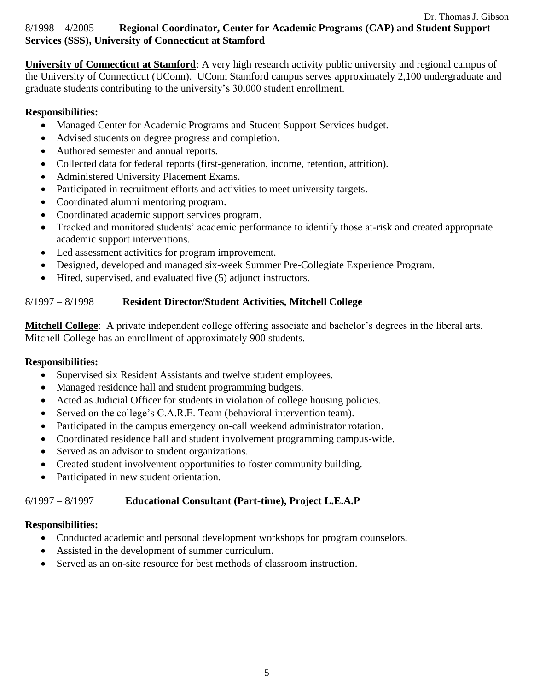# 8/1998 – 4/2005**Regional Coordinator, Center for Academic Programs (CAP) and Student Support Services (SSS), University of Connecticut at Stamford**

**University of Connecticut at Stamford**: A very high research activity public university and regional campus of the University of Connecticut (UConn). UConn Stamford campus serves approximately 2,100 undergraduate and graduate students contributing to the university's 30,000 student enrollment.

## **Responsibilities:**

- Managed Center for Academic Programs and Student Support Services budget.
- Advised students on degree progress and completion.
- Authored semester and annual reports.
- Collected data for federal reports (first-generation, income, retention, attrition).
- Administered University Placement Exams.
- Participated in recruitment efforts and activities to meet university targets.
- Coordinated alumni mentoring program.
- Coordinated academic support services program.
- Tracked and monitored students' academic performance to identify those at-risk and created appropriate academic support interventions.
- Led assessment activities for program improvement.
- Designed, developed and managed six-week Summer Pre-Collegiate Experience Program.
- Hired, supervised, and evaluated five (5) adjunct instructors.

# 8/1997 – 8/1998 **Resident Director/Student Activities, Mitchell College**

**Mitchell College**: A private independent college offering associate and bachelor's degrees in the liberal arts. Mitchell College has an enrollment of approximately 900 students.

## **Responsibilities:**

- Supervised six Resident Assistants and twelve student employees.
- Managed residence hall and student programming budgets.
- Acted as Judicial Officer for students in violation of college housing policies.
- Served on the college's C.A.R.E. Team (behavioral intervention team).
- Participated in the campus emergency on-call weekend administrator rotation.
- Coordinated residence hall and student involvement programming campus-wide.
- Served as an advisor to student organizations.
- Created student involvement opportunities to foster community building.
- Participated in new student orientation.

# 6/1997 – 8/1997 **Educational Consultant (Part-time), Project L.E.A.P**

## **Responsibilities:**

- Conducted academic and personal development workshops for program counselors.
- Assisted in the development of summer curriculum.
- Served as an on-site resource for best methods of classroom instruction.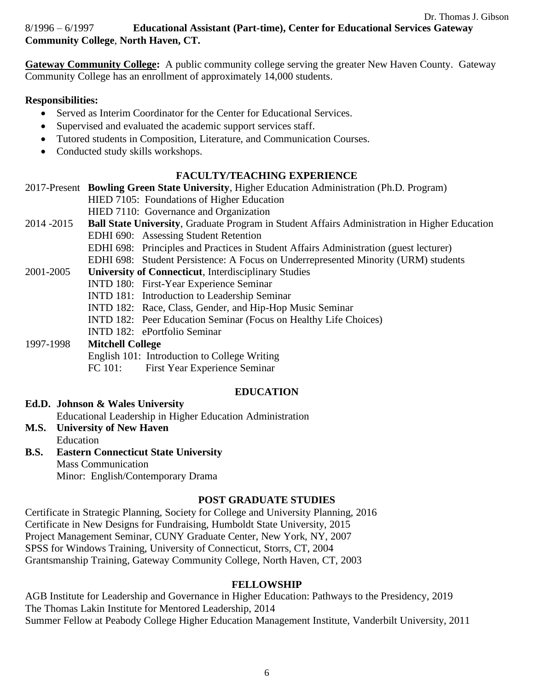# 8/1996 – 6/1997 **Educational Assistant (Part-time), Center for Educational Services Gateway Community College**, **North Haven, CT.**

**Gateway Community College:** A public community college serving the greater New Haven County. Gateway Community College has an enrollment of approximately 14,000 students.

#### **Responsibilities:**

- Served as Interim Coordinator for the Center for Educational Services.
- Supervised and evaluated the academic support services staff.
- Tutored students in Composition, Literature, and Communication Courses.
- Conducted study skills workshops.

## **FACULTY/TEACHING EXPERIENCE**

2017-Present **Bowling Green State University**, Higher Education Administration (Ph.D. Program) HIED 7105: Foundations of Higher Education HIED 7110: Governance and Organization 2014 -2015 **Ball State University**, Graduate Program in Student Affairs Administration in Higher Education

EDHI 690: Assessing Student Retention EDHI 698: Principles and Practices in Student Affairs Administration (guest lecturer) EDHI 698: Student Persistence: A Focus on Underrepresented Minority (URM) students 2001-2005 **University of Connecticut**, Interdisciplinary Studies INTD 180: First-Year Experience Seminar INTD 181: Introduction to Leadership Seminar INTD 182: Race, Class, Gender, and Hip-Hop Music Seminar INTD 182: Peer Education Seminar (Focus on Healthy Life Choices) INTD 182: ePortfolio Seminar 1997-1998 **Mitchell College** English 101: Introduction to College Writing

# FC 101:First Year Experience Seminar

## **EDUCATION**

- **Ed.D. Johnson & Wales University** Educational Leadership in Higher Education Administration
- **M.S. University of New Haven**
- Education **B.S. Eastern Connecticut State University** Mass Communication Minor: English/Contemporary Drama

# **POST GRADUATE STUDIES**

Certificate in Strategic Planning, Society for College and University Planning, 2016 Certificate in New Designs for Fundraising, Humboldt State University, 2015 Project Management Seminar, CUNY Graduate Center, New York, NY, 2007 SPSS for Windows Training, University of Connecticut, Storrs, CT, 2004 Grantsmanship Training, Gateway Community College, North Haven, CT, 2003

## **FELLOWSHIP**

AGB Institute for Leadership and Governance in Higher Education: Pathways to the Presidency, 2019 The Thomas Lakin Institute for Mentored Leadership, 2014 Summer Fellow at Peabody College Higher Education Management Institute, Vanderbilt University, 2011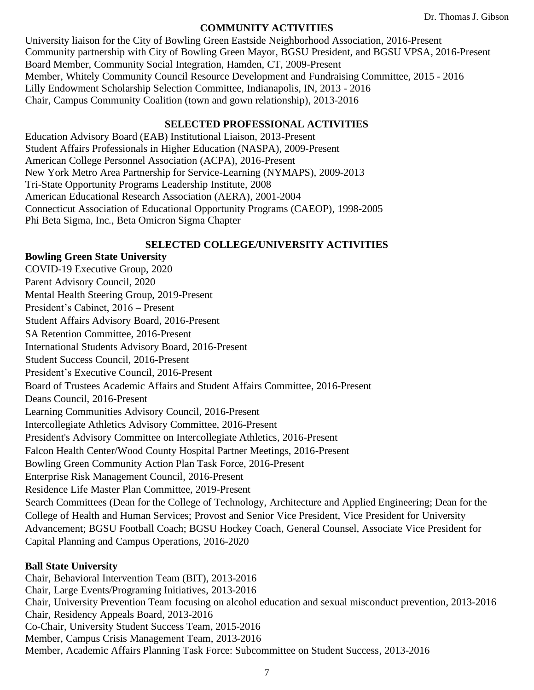#### **COMMUNITY ACTIVITIES**

University liaison for the City of Bowling Green Eastside Neighborhood Association, 2016-Present Community partnership with City of Bowling Green Mayor, BGSU President, and BGSU VPSA, 2016-Present Board Member, Community Social Integration, Hamden, CT, 2009-Present Member, Whitely Community Council Resource Development and Fundraising Committee, 2015 - 2016 Lilly Endowment Scholarship Selection Committee, Indianapolis, IN, 2013 - 2016 Chair, Campus Community Coalition (town and gown relationship), 2013-2016

#### **SELECTED PROFESSIONAL ACTIVITIES**

Education Advisory Board (EAB) Institutional Liaison, 2013-Present Student Affairs Professionals in Higher Education (NASPA), 2009-Present American College Personnel Association (ACPA), 2016-Present New York Metro Area Partnership for Service-Learning (NYMAPS), 2009-2013 Tri-State Opportunity Programs Leadership Institute, 2008 American Educational Research Association (AERA), 2001-2004 Connecticut Association of Educational Opportunity Programs (CAEOP), 1998-2005 Phi Beta Sigma, Inc., Beta Omicron Sigma Chapter

#### **SELECTED COLLEGE/UNIVERSITY ACTIVITIES**

**Bowling Green State University** COVID-19 Executive Group, 2020 Parent Advisory Council, 2020 Mental Health Steering Group, 2019-Present President's Cabinet, 2016 – Present Student Affairs Advisory Board, 2016-Present SA Retention Committee, 2016-Present International Students Advisory Board, 2016-Present Student Success Council, 2016-Present President's Executive Council, 2016-Present Board of Trustees Academic Affairs and Student Affairs Committee, 2016-Present Deans Council, 2016-Present Learning Communities Advisory Council, 2016-Present Intercollegiate Athletics Advisory Committee, 2016-Present President's Advisory Committee on Intercollegiate Athletics, 2016-Present Falcon Health Center/Wood County Hospital Partner Meetings, 2016-Present Bowling Green Community Action Plan Task Force, 2016-Present Enterprise Risk Management Council, 2016-Present Residence Life Master Plan Committee, 2019-Present Search Committees (Dean for the College of Technology, Architecture and Applied Engineering; Dean for the College of Health and Human Services; Provost and Senior Vice President, Vice President for University Advancement; BGSU Football Coach; BGSU Hockey Coach, General Counsel, Associate Vice President for Capital Planning and Campus Operations, 2016-2020

#### **Ball State University**

Chair, Behavioral Intervention Team (BIT), 2013-2016 Chair, Large Events/Programing Initiatives, 2013-2016 Chair, University Prevention Team focusing on alcohol education and sexual misconduct prevention, 2013-2016 Chair, Residency Appeals Board, 2013-2016 Co-Chair, University Student Success Team, 2015-2016 Member, Campus Crisis Management Team, 2013-2016 Member, Academic Affairs Planning Task Force: Subcommittee on Student Success, 2013-2016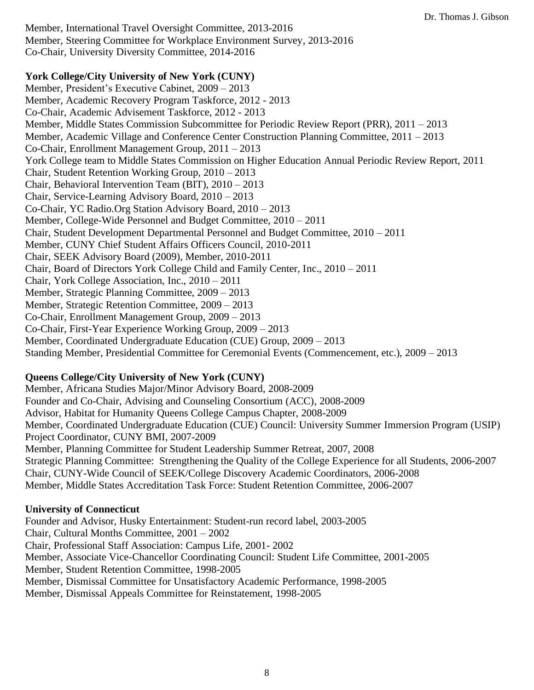Member, International Travel Oversight Committee, 2013-2016 Member, Steering Committee for Workplace Environment Survey, 2013-2016 Co-Chair, University Diversity Committee, 2014-2016

#### **York College/City University of New York (CUNY)**

Member, President's Executive Cabinet, 2009 – 2013 Member, Academic Recovery Program Taskforce, 2012 - 2013 Co-Chair, Academic Advisement Taskforce, 2012 - 2013 Member, Middle States Commission Subcommittee for Periodic Review Report (PRR), 2011 – 2013 Member, Academic Village and Conference Center Construction Planning Committee, 2011 – 2013 Co-Chair, Enrollment Management Group, 2011 – 2013 York College team to Middle States Commission on Higher Education Annual Periodic Review Report, 2011 Chair, Student Retention Working Group, 2010 – 2013 Chair, Behavioral Intervention Team (BIT), 2010 – 2013 Chair, Service-Learning Advisory Board, 2010 – 2013 Co-Chair, YC Radio.Org Station Advisory Board, 2010 – 2013 Member, College-Wide Personnel and Budget Committee, 2010 – 2011 Chair, Student Development Departmental Personnel and Budget Committee, 2010 – 2011 Member, CUNY Chief Student Affairs Officers Council, 2010-2011 Chair, SEEK Advisory Board (2009), Member, 2010-2011 Chair, Board of Directors York College Child and Family Center, Inc., 2010 – 2011 Chair, York College Association, Inc., 2010 – 2011 Member, Strategic Planning Committee, 2009 – 2013 Member, Strategic Retention Committee, 2009 – 2013 Co-Chair, Enrollment Management Group, 2009 – 2013 Co-Chair, First-Year Experience Working Group, 2009 – 2013 Member, Coordinated Undergraduate Education (CUE) Group, 2009 – 2013 Standing Member, Presidential Committee for Ceremonial Events (Commencement, etc.), 2009 – 2013

## **Queens College/City University of New York (CUNY)**

Member, Africana Studies Major/Minor Advisory Board, 2008-2009 Founder and Co-Chair, Advising and Counseling Consortium (ACC), 2008-2009 Advisor, Habitat for Humanity Queens College Campus Chapter, 2008-2009 Member, Coordinated Undergraduate Education (CUE) Council: University Summer Immersion Program (USIP) Project Coordinator, CUNY BMI, 2007-2009 Member, Planning Committee for Student Leadership Summer Retreat, 2007, 2008 Strategic Planning Committee: Strengthening the Quality of the College Experience for all Students, 2006-2007 Chair, CUNY-Wide Council of SEEK/College Discovery Academic Coordinators, 2006-2008 Member, Middle States Accreditation Task Force: Student Retention Committee, 2006-2007

#### **University of Connecticut**

Founder and Advisor, Husky Entertainment: Student-run record label, 2003-2005 Chair, Cultural Months Committee, 2001 – 2002 Chair, Professional Staff Association: Campus Life, 2001- 2002 Member, Associate Vice-Chancellor Coordinating Council: Student Life Committee, 2001-2005 Member, Student Retention Committee, 1998-2005 Member, Dismissal Committee for Unsatisfactory Academic Performance, 1998-2005 Member, Dismissal Appeals Committee for Reinstatement, 1998-2005